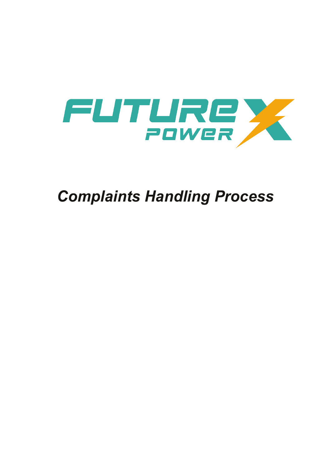

# *Complaints Handling Process*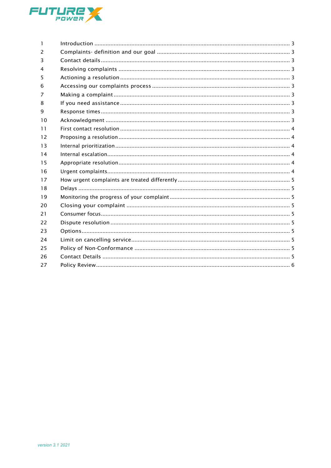

| $\mathbf{1}$ |  |
|--------------|--|
| 2            |  |
| 3            |  |
| 4            |  |
| 5            |  |
| 6            |  |
| 7            |  |
| 8            |  |
| 9            |  |
| 10           |  |
| 11           |  |
| 12           |  |
| 13           |  |
| 14           |  |
| 15           |  |
| 16           |  |
| 17           |  |
| 18           |  |
| 19           |  |
| 20           |  |
| 21           |  |
| 22           |  |
| 23           |  |
| 24           |  |
| 25           |  |
| 26           |  |
| 27           |  |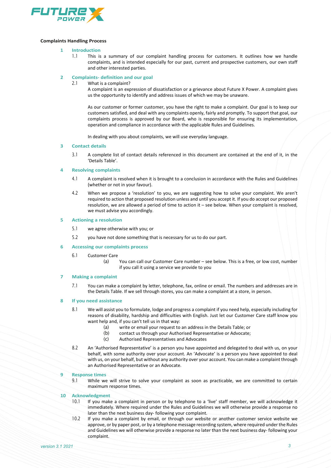

# <span id="page-2-0"></span>**Complaints Handling Process**

### **1 Introduction**

1.1 This is a summary of our complaint handling process for customers. It outlines how we handle complaints, and is intended especially for our past, current and prospective customers, our own staff and other interested parties.

# <span id="page-2-1"></span>**2 Complaints- definition and our goal**

What is a complaint?

A complaint is an expression of dissatisfaction or a grievance about Future X Power. A complaint gives us the opportunity to identify and address issues of which we may be unaware.

As our customer or former customer, you have the right to make a complaint. Our goal is to keep our customers satisfied, and deal with any complaints openly, fairly and promptly. To support that goal, our complaints process is approved by our Board, who is responsible for ensuring its implementation, operation and compliance in accordance with the applicable Rules and Guidelines.

In dealing with you about complaints, we will use everyday language.

#### <span id="page-2-2"></span>**3 Contact details**

3.1 A complete list of contact details referenced in this document are contained at the end of it, in the 'Details Table'.

# <span id="page-2-3"></span>**4 Resolving complaints**

- 4.1 A complaint is resolved when it is brought to a conclusion in accordance with the Rules and Guidelines (whether or not in your favour).
- 4.2 When we propose a 'resolution' to you, we are suggesting how to solve your complaint. We aren't required to action that proposed resolution unless and until you accept it. If you do accept our proposed resolution, we are allowed a period of time to action it – see below. When your complaint is resolved, we must advise you accordingly.

#### <span id="page-2-4"></span>**5 Actioning a resolution**

- 5.1 we agree otherwise with you; or
- 5.2 you have not done something that is necessary for us to do our part.
- <span id="page-2-5"></span>**6 Accessing our complaints process**
	- 6.1 Customer Care
		- (a) You can call our Customer Care number see below. This is a free, or low cost, number if you call it using a service we provide to you

# <span id="page-2-6"></span>**7 Making a complaint**

7.1 You can make a complaint by letter, telephone, fax, online or email. The numbers and addresses are in the Details Table. If we sell through stores, you can make a complaint at a store, in person.

# <span id="page-2-7"></span>**8 If you need assistance**

- 8.1 We will assist you to formulate, lodge and progress a complaint if you need help, especially including for reasons of disability, hardship and difficulties with English. Just let our Customer Care staff know you want help and, if you can't tell us in that way:
	- (a) write or email your request to an address in the Details Table; or
	- (b) contact us through your Authorised Representative or Advocate;
	- (c) Authorised Representatives and Advocates
- 8.2 An 'Authorised Representative' is a person you have appointed and delegated to deal with us, on your behalf, with some authority over your account. An 'Advocate' is a person you have appointed to deal with us, on your behalf, but without any authority over your account. You can make a complaint through an Authorised Representative or an Advocate.

#### <span id="page-2-8"></span>**9 Response times**

9.1 While we will strive to solve your complaint as soon as practicable, we are committed to certain maximum response times.

#### <span id="page-2-9"></span>**10 Acknowledgment**

- 10.1 If you make a complaint in person or by telephone to a 'live' staff member, we will acknowledge it immediately. Where required under the Rules and Guidelines we will otherwise provide a response no later than the next business day- following your complaint.
- 10.2 If you make a complaint by email, or through our website or another customer service website we approve, or by paper post, or by a telephone message recording system, where required under the Rules and Guidelines we will otherwise provide a response no later than the next business day- following your complaint.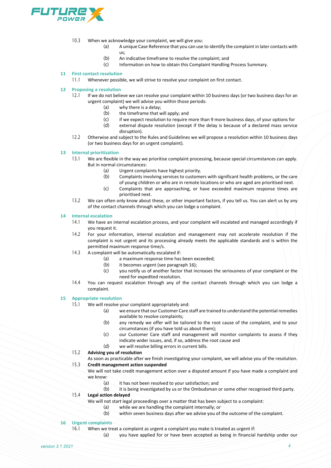

- 10.3 When we acknowledge your complaint, we will give you:
	- (a) A unique Case Reference that you can use to identify the complaint in later contacts with us;
	- (b) An indicative timeframe to resolve the complaint; and (c) Information on how to obtain this Complaint Handling
	- Information on how to obtain this Complaint Handling Process Summary.

### <span id="page-3-0"></span>**11 First contact resolution**

11.1 Whenever possible, we will strive to resolve your complaint on first contact.

# <span id="page-3-1"></span>**12 Proposing a resolution**

- If we do not believe we can resolve your complaint within 10 business days (or two business days for an urgent complaint) we will advise you within those periods:
	- (a) why there is a delay;
	- (b) the timeframe that will apply; and
	-
	- (c) if we expect resolution to require more than 9 more business days, of your options for<br>(d) external dispute resolution (except if the delay is because of a declared mass service external dispute resolution (except if the delay is because of a declared mass service disruption).
- 12.2 Otherwise and subject to the Rules and Guidelines we will propose a resolution within 10 business days (or two business days for an urgent complaint).

#### <span id="page-3-2"></span>**13 Internal prioritization**

- 13.1 We are flexible in the way we prioritise complaint processing, because special circumstances can apply. But in normal circumstances:
	- (a) Urgent complaints have highest priority.<br>(b) Complaints involving services to custome
	- Complaints involving services to customers with significant health problems, or the care of young children or who are in remote locations or who are aged are prioritised next.
	- (c) Complaints that are approaching, or have exceeded maximum response times are prioritised next.
- 13.2 We can often only know about these, or other important factors, if you tell us. You can alert us by any of the contact channels through which you can lodge a complaint.

### <span id="page-3-3"></span>**14 Internal escalation**

- 14.1 We have an internal escalation process, and your complaint will escalated and managed accordingly if you request it.
- 14.2 For your information, internal escalation and management may not accelerate resolution if the complaint is not urgent and its processing already meets the applicable standards and is within the permitted maximum response time/s.
- 14.3 A complaint will be automatically escalated if:
	- (a) a maximum response time has been exceeded;
	- (b) it becomes urgent (see paragraph 16);
	- (c) you notify us of another factor that increases the seriousness of your complaint or the need for expedited resolution.
- 14.4 You can request escalation through any of the contact channels through which you can lodge a complaint.

# <span id="page-3-4"></span>**15 Appropriate resolution**

- 15.1 We will resolve your complaint appropriately and:
	- (a) we ensure that our Customer Care staff are trained to understand the potential remedies available to resolve complaints;
	- (b) any remedy we offer will be tailored to the root cause of the complaint, and to your circumstances (if you have told us about them);
	- (c) our Customer Care staff and management will monitor complaints to assess if they indicate wider issues, and, if so, address the root cause and
	- (d) we will resolve billing errors in current bills.
- 15.2 **Advising you of resolution**
- As soon as practicable after we finish investigating your complaint, we will advise you of the resolution.

# 15.3 **Credit management action suspended**

We will not take credit management action over a disputed amount if you have made a complaint and we know:

- (a) it has not been resolved to your satisfaction; and<br>(b) it is being investigated by us or the Ombudsman o
- it is being investigated by us or the Ombudsman or some other recognised third party.

# 15.4 **Legal action delayed**

- We will not start legal proceedings over a matter that has been subject to a complaint:
	- (a) while we are handling the complaint internally; or
	- (b) within seven business days after we advise you of the outcome of the complaint.

# <span id="page-3-5"></span>**16 Urgent complaints**

16.1 When we treat a complaint as urgent a complaint you make is treated as urgent if:

(a) you have applied for or have been accepted as being in financial hardship under our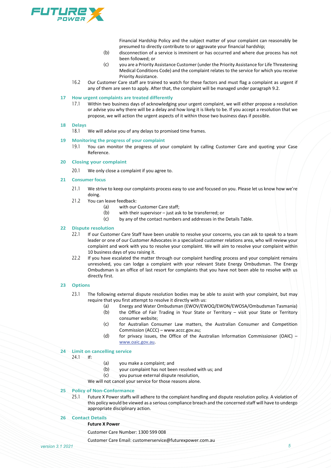

Financial Hardship Policy and the subject matter of your complaint can reasonably be presumed to directly contribute to or aggravate your financial hardship;

- (b) disconnection of a service is imminent or has occurred and where due process has not been followed; or
- (c) you are a Priority Assistance Customer (under the Priority Assistance for Life Threatening Medical Conditions Code) and the complaint relates to the service for which you receive Priority Assistance.
- 16.2 Our Customer Care staff are trained to watch for these factors and must flag a complaint as urgent if any of them are seen to apply. After that, the complaint will be managed under paragraph 9.2.

### <span id="page-4-0"></span>**17 How urgent complaints are treated differently**

17.1 Within two business days of acknowledging your urgent complaint, we will either propose a resolution or advise you why there will be a delay and how long it is likely to be. If you accept a resolution that we propose, we will action the urgent aspects of it within those two business days if possible.

# <span id="page-4-1"></span>**18 Delays**

We will advise you of any delays to promised time frames.

#### <span id="page-4-2"></span>**19 Monitoring the progress of your complaint**

19.1 You can monitor the progress of your complaint by calling Customer Care and quoting your Case Reference.

## <span id="page-4-3"></span>**20 Closing your complaint**

20.1 We only close a complaint if you agree to.

# <span id="page-4-4"></span>**21 Consumer focus**

- 21.1 We strive to keep our complaints process easy to use and focused on you. Please let us know how we're doing.
- 21.2 You can leave feedback:
	- (a) with our Customer Care staff;<br>(b) with their supervisor just as
	- (b) with their supervisor just ask to be transferred; or  $(c)$  by any of the contact numbers and addresses in the
	- by any of the contact numbers and addresses in the Details Table.

# <span id="page-4-5"></span>**22 Dispute resolution**

- If our Customer Care Staff have been unable to resolve your concerns, you can ask to speak to a team leader or one of our Customer Advocates in a specialized customer relations area, who will review your complaint and work with you to resolve your complaint. We will aim to resolve your complaint within 10 business days of you raising it.
- 22.2 If you have escalated the matter through our complaint handling process and your complaint remains unresolved, you can lodge a complaint with your relevant State Energy Ombudsman. The Energy Ombudsman is an office of last resort for complaints that you have not been able to resolve with us directly first.

#### <span id="page-4-6"></span>**23 Options**

- 23.1 The following external dispute resolution bodies may be able to assist with your complaint, but may require that you first attempt to resolve it directly with us:
	- (a) Energy and Water Ombudsman (EWOV/EWOQ/EWON/EWOSA/Ombudsman Tasmania)<br>(b) the Office of Fair Trading in Your State or Territory visit your State or Territory
	- the Office of Fair Trading in Your State or Territory visit your State or Territory consumer website;
	- (c) for Australian Consumer Law matters, the Australian Consumer and Competition Commission (ACCC) – www.accc.gov.au;
	- (d) for privacy issues, the Office of the Australian Information Commissioner (OAIC) [www.oaic.gov.au.](http://www.oaic.gov.au/)

# <span id="page-4-7"></span>**24 Limit on cancelling service**

- 24.1 If:
- (a) you make a complaint; and
- (b) your complaint has not been resolved with us; and
- (c) you pursue external dispute resolution,

We will not cancel your service for those reasons alone.

## <span id="page-4-8"></span>**25 Policy of Non-Conformance**

25.1 Future X Power staffs will adhere to the complaint handling and dispute resolution policy. A violation of this policy would be viewed as a serious compliance breach and the concerned staff will have to undergo appropriate disciplinary action.

### <span id="page-4-9"></span>**26 Contact Details**

#### **Future X Power**

Customer Care Number: 1300 599 008

Customer Care Email: customerservice@futurexpower.com.au